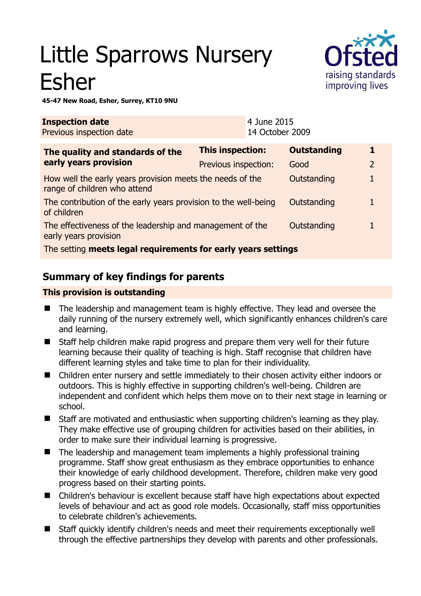# Little Sparrows Nursery Esher



**45-47 New Road, Esher, Surrey, KT10 9NU** 

| <b>Inspection date</b><br>Previous inspection date                                        |                         | 4 June 2015<br>14 October 2009 |                    |                |  |
|-------------------------------------------------------------------------------------------|-------------------------|--------------------------------|--------------------|----------------|--|
| The quality and standards of the<br>early years provision                                 | <b>This inspection:</b> |                                | <b>Outstanding</b> |                |  |
|                                                                                           | Previous inspection:    |                                | Good               | $\overline{2}$ |  |
| How well the early years provision meets the needs of the<br>range of children who attend |                         |                                | Outstanding        |                |  |
| The contribution of the early years provision to the well-being<br>of children            |                         |                                | Outstanding        |                |  |
| The effectiveness of the leadership and management of the<br>early years provision        |                         |                                | Outstanding        |                |  |
| The setting meets legal requirements for early years settings                             |                         |                                |                    |                |  |

## **Summary of key findings for parents**

#### **This provision is outstanding**

- The leadership and management team is highly effective. They lead and oversee the daily running of the nursery extremely well, which significantly enhances children's care and learning.
- Staff help children make rapid progress and prepare them very well for their future learning because their quality of teaching is high. Staff recognise that children have different learning styles and take time to plan for their individuality.
- Children enter nursery and settle immediately to their chosen activity either indoors or outdoors. This is highly effective in supporting children's well-being. Children are independent and confident which helps them move on to their next stage in learning or school.
- Staff are motivated and enthusiastic when supporting children's learning as they play. They make effective use of grouping children for activities based on their abilities, in order to make sure their individual learning is progressive.
- The leadership and management team implements a highly professional training programme. Staff show great enthusiasm as they embrace opportunities to enhance their knowledge of early childhood development. Therefore, children make very good progress based on their starting points.
- Children's behaviour is excellent because staff have high expectations about expected levels of behaviour and act as good role models. Occasionally, staff miss opportunities to celebrate children's achievements.
- Staff quickly identify children's needs and meet their requirements exceptionally well through the effective partnerships they develop with parents and other professionals.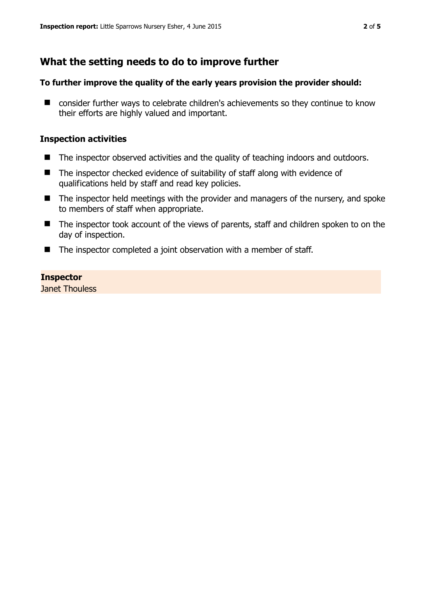## **What the setting needs to do to improve further**

#### **To further improve the quality of the early years provision the provider should:**

■ consider further ways to celebrate children's achievements so they continue to know their efforts are highly valued and important.

#### **Inspection activities**

- The inspector observed activities and the quality of teaching indoors and outdoors.
- The inspector checked evidence of suitability of staff along with evidence of qualifications held by staff and read key policies.
- $\blacksquare$  The inspector held meetings with the provider and managers of the nursery, and spoke to members of staff when appropriate.
- The inspector took account of the views of parents, staff and children spoken to on the day of inspection.
- The inspector completed a joint observation with a member of staff.

#### **Inspector**

Janet Thouless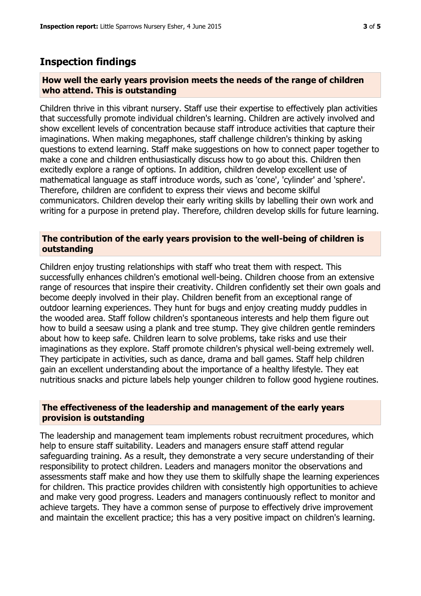### **Inspection findings**

#### **How well the early years provision meets the needs of the range of children who attend. This is outstanding**

Children thrive in this vibrant nursery. Staff use their expertise to effectively plan activities that successfully promote individual children's learning. Children are actively involved and show excellent levels of concentration because staff introduce activities that capture their imaginations. When making megaphones, staff challenge children's thinking by asking questions to extend learning. Staff make suggestions on how to connect paper together to make a cone and children enthusiastically discuss how to go about this. Children then excitedly explore a range of options. In addition, children develop excellent use of mathematical language as staff introduce words, such as 'cone', 'cylinder' and 'sphere'. Therefore, children are confident to express their views and become skilful communicators. Children develop their early writing skills by labelling their own work and writing for a purpose in pretend play. Therefore, children develop skills for future learning.

#### **The contribution of the early years provision to the well-being of children is outstanding**

Children enjoy trusting relationships with staff who treat them with respect. This successfully enhances children's emotional well-being. Children choose from an extensive range of resources that inspire their creativity. Children confidently set their own goals and become deeply involved in their play. Children benefit from an exceptional range of outdoor learning experiences. They hunt for bugs and enjoy creating muddy puddles in the wooded area. Staff follow children's spontaneous interests and help them figure out how to build a seesaw using a plank and tree stump. They give children gentle reminders about how to keep safe. Children learn to solve problems, take risks and use their imaginations as they explore. Staff promote children's physical well-being extremely well. They participate in activities, such as dance, drama and ball games. Staff help children gain an excellent understanding about the importance of a healthy lifestyle. They eat nutritious snacks and picture labels help younger children to follow good hygiene routines.

#### **The effectiveness of the leadership and management of the early years provision is outstanding**

The leadership and management team implements robust recruitment procedures, which help to ensure staff suitability. Leaders and managers ensure staff attend regular safeguarding training. As a result, they demonstrate a very secure understanding of their responsibility to protect children. Leaders and managers monitor the observations and assessments staff make and how they use them to skilfully shape the learning experiences for children. This practice provides children with consistently high opportunities to achieve and make very good progress. Leaders and managers continuously reflect to monitor and achieve targets. They have a common sense of purpose to effectively drive improvement and maintain the excellent practice; this has a very positive impact on children's learning.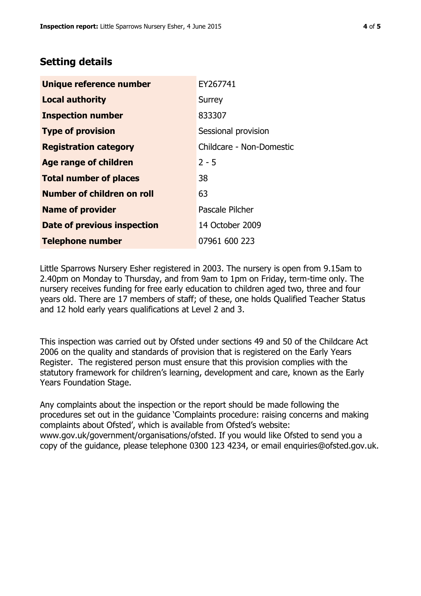## **Setting details**

| Unique reference number       | EY267741                 |  |
|-------------------------------|--------------------------|--|
| <b>Local authority</b>        | Surrey                   |  |
| <b>Inspection number</b>      | 833307                   |  |
| <b>Type of provision</b>      | Sessional provision      |  |
| <b>Registration category</b>  | Childcare - Non-Domestic |  |
| <b>Age range of children</b>  | $2 - 5$                  |  |
| <b>Total number of places</b> | 38                       |  |
| Number of children on roll    | 63                       |  |
| <b>Name of provider</b>       | Pascale Pilcher          |  |
| Date of previous inspection   | 14 October 2009          |  |
| <b>Telephone number</b>       | 07961 600 223            |  |

Little Sparrows Nursery Esher registered in 2003. The nursery is open from 9.15am to 2.40pm on Monday to Thursday, and from 9am to 1pm on Friday, term-time only. The nursery receives funding for free early education to children aged two, three and four years old. There are 17 members of staff; of these, one holds Qualified Teacher Status and 12 hold early years qualifications at Level 2 and 3.

This inspection was carried out by Ofsted under sections 49 and 50 of the Childcare Act 2006 on the quality and standards of provision that is registered on the Early Years Register. The registered person must ensure that this provision complies with the statutory framework for children's learning, development and care, known as the Early Years Foundation Stage.

Any complaints about the inspection or the report should be made following the procedures set out in the guidance 'Complaints procedure: raising concerns and making complaints about Ofsted', which is available from Ofsted's website: www.gov.uk/government/organisations/ofsted. If you would like Ofsted to send you a copy of the guidance, please telephone 0300 123 4234, or email enquiries@ofsted.gov.uk.